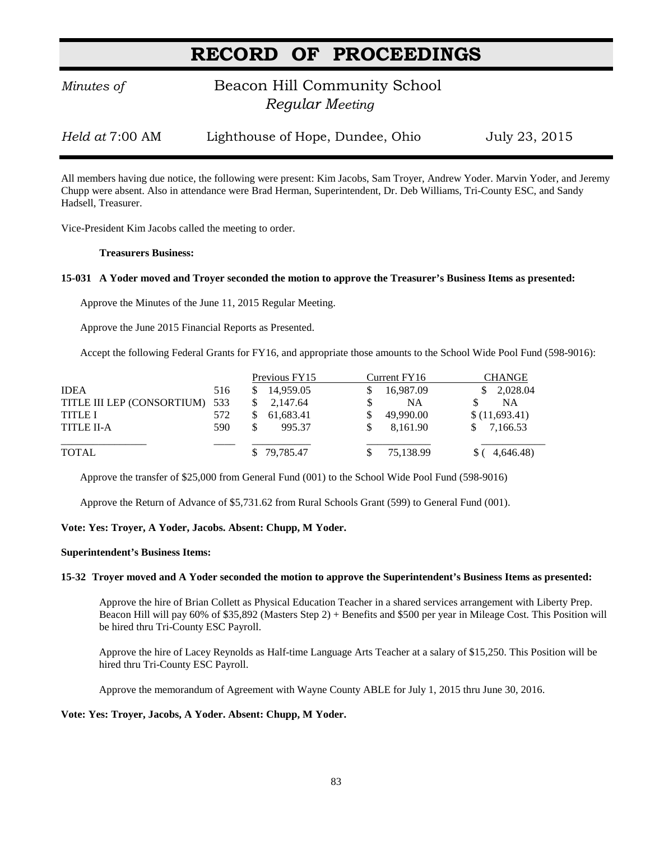# **RECORD OF PROCEEDINGS**

# *Minutes of* **Beacon Hill Community School**  *Regular Meeting*

*Held at* 7:00 AM Lighthouse of Hope, Dundee, Ohio July 23, 2015

All members having due notice, the following were present: Kim Jacobs, Sam Troyer, Andrew Yoder. Marvin Yoder, and Jeremy Chupp were absent. Also in attendance were Brad Herman, Superintendent, Dr. Deb Williams, Tri-County ESC, and Sandy Hadsell, Treasurer.

Vice-President Kim Jacobs called the meeting to order.

#### **Treasurers Business:**

#### **15-031 A Yoder moved and Troyer seconded the motion to approve the Treasurer's Business Items as presented:**

Approve the Minutes of the June 11, 2015 Regular Meeting.

Approve the June 2015 Financial Reports as Presented.

Accept the following Federal Grants for FY16, and appropriate those amounts to the School Wide Pool Fund (598-9016):

|                            |     | Previous FY15   | Current FY16 | <b>CHANGE</b>  |
|----------------------------|-----|-----------------|--------------|----------------|
| <b>IDEA</b>                | 516 | 14.959.05<br>S. | 16,987.09    | 2,028.04<br>S. |
| TITLE III LEP (CONSORTIUM) | 533 | 2.147.64        | <b>NA</b>    | NA             |
| <b>TITLE I</b>             | 572 | 61.683.41       | 49,990.00    | \$(11,693.41)  |
| <b>TITLE II-A</b>          | 590 | 995.37          | 8.161.90     | 7,166.53       |
| <b>TOTAL</b>               |     | \$79,785.47     | 75,138.99    | (4.646.48)     |

Approve the transfer of \$25,000 from General Fund (001) to the School Wide Pool Fund (598-9016)

Approve the Return of Advance of \$5,731.62 from Rural Schools Grant (599) to General Fund (001).

### **Vote: Yes: Troyer, A Yoder, Jacobs. Absent: Chupp, M Yoder.**

#### **Superintendent's Business Items:**

#### **15-32 Troyer moved and A Yoder seconded the motion to approve the Superintendent's Business Items as presented:**

Approve the hire of Brian Collett as Physical Education Teacher in a shared services arrangement with Liberty Prep. Beacon Hill will pay 60% of \$35,892 (Masters Step 2) + Benefits and \$500 per year in Mileage Cost. This Position will be hired thru Tri-County ESC Payroll.

Approve the hire of Lacey Reynolds as Half-time Language Arts Teacher at a salary of \$15,250. This Position will be hired thru Tri-County ESC Payroll.

Approve the memorandum of Agreement with Wayne County ABLE for July 1, 2015 thru June 30, 2016.

#### **Vote: Yes: Troyer, Jacobs, A Yoder. Absent: Chupp, M Yoder.**